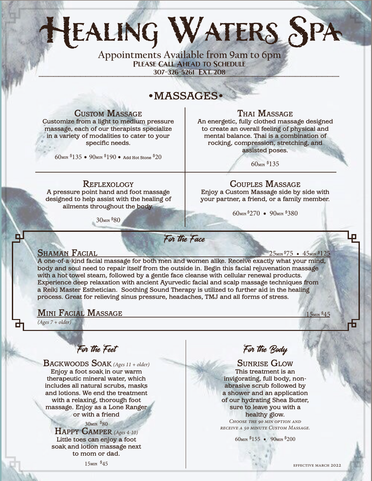# **Healing Waters Spa**

**Appointments Available from 9am to 6pm Please Call Ahead to Schedule** 307-326-5261 EXT. 208

## •MASSAGES•

Custom Massage

Customize from a light to medium pressure massage, each of our therapists specialize in a variety of modalities to cater to your specific needs.

 $60$ min  $$135\bullet90$ min  $$190\bullet$  Add Hot Stone  $$20$ 

#### Thai Massage

An energetic, fully clothed massage designed to create an overall feeling of physical and mental balance. Thai is a combination of rocking, compression, stretching, and assisted poses.

60min \$ 135

#### **REFLEXOLOGY**

A pressure point hand and foot massage designed to help assist with the healing of ailments throughout the body.

30min \$ 80

# Couples Massage

Enjoy a Custom Massage side by side with your partner, a friend, or a family member.

60min \$ 270 • 90min \$ 380

## For the Face

ш

**SHAMAN FACIAL**<br>A one-of-a-kind facial massage for both men and women alike. Receive exactly what your mind, body and soul need to repair itself from the outside in. Begin this facial rejuvenation massage with a hot towel steam, followed by a gentle face cleanse with cellular renewal products. Experience deep relaxation with ancient Ayurvedic facial and scalp massage techniques from a Reiki Master Esthetician. Soothing Sound Therapy is utilized to further aid in the healing process. Great for relieving sinus pressure, headaches, TMJ and all forms of stress. 25<sub>мін</sub> \$75 • 45<sub>мін</sub> \$125

### **MINI FACIAL MASSAGE**

*(Ages 7 + older)*

 $15$ min  $$45$ 

For the Feet

Backwoods Soak *(Ages 11 + older)* Enjoy a foot soak in our warm therapeutic mineral water, which includes all natural scrubs, masks and lotions. We end the treatment with a relaxing, thorough foot massage. Enjoy as a Lone Ranger or with a friend

30min \$80

Happy Camper *(Ages 4-10)*  Little toes can enjoy a foot soak and lotion massage next to mom or dad.

For the Body

Sunrise Glow This treatment is an invigorating, full body, nonabrasive scrub followed by a shower and an application of our hydrating Shea Butter, sure to leave you with a healthy glow. *Choose the 90 min option and receive a 50 minute Custom Massage.*

60min \$ 155 • 90min \$ 200

effective march 2022